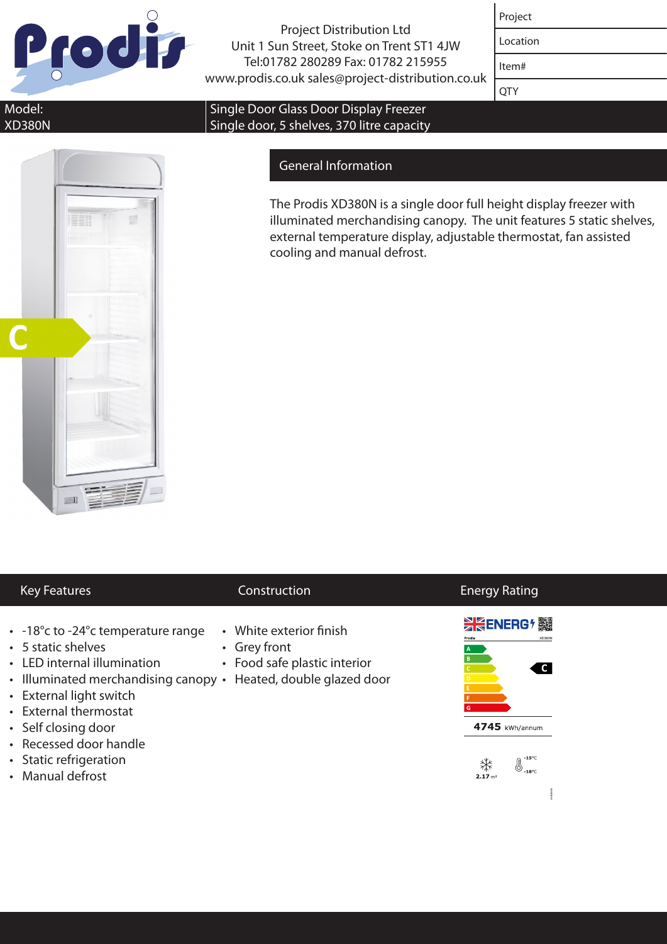

Project Distribution Ltd Unit 1 Sun Street, Stoke on Trent ST1 4JW Tel:01782 280289 Fax: 01782 215955 www.prodis.co.uk sales@project-distribution.co.uk

| ↩<br>Proje |
|------------|
|------------|

Location

Item#

**OTY** 

Model: XD380N

### Single Door Glass Door Display Freezer Single door, 5 shelves, 370 litre capacity

# General Information

The Prodis XD380N is a single door full height display freezer with illuminated merchandising canopy. The unit features 5 static shelves, external temperature display, adjustable thermostat, fan assisted cooling and manual defrost.

## Key Features **Construction**

- -18°c to -24°c temperature range
- 5 static shelves
- • LED internal illumination
- Illuminated merchandising canopy Heated, double glazed door
- • External light switch
- • External thermostat
- Self closing door
- • Recessed door handle
- Static refrigeration
- Manual defrost
- • White exterior finish
- • Grey front
- Food safe plastic interior
- 



Energy Rating